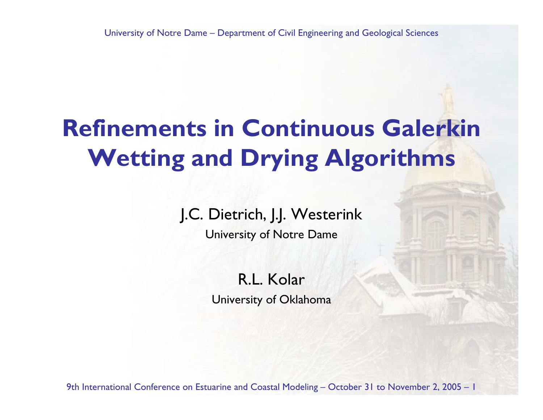# **Refinements in Continuous GalerkinWetting and Drying Algorithms**

### J.C. Dietrich, J.J. Westerink

University of Notre Dame

R.L. KolarUniversity of Oklahoma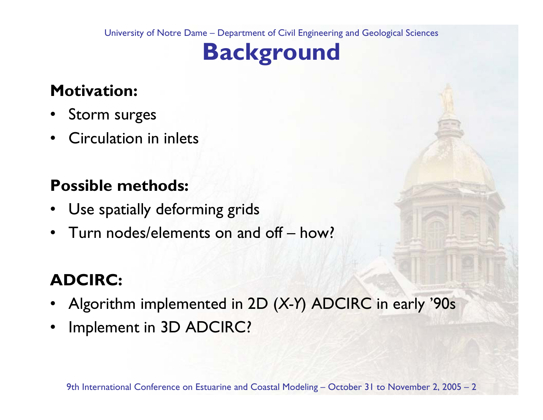# **Background**

### **Motivation:**

- •Storm surges
- •Circulation in inlets

### **Possible methods:**

- •Use spatially deforming grids
- •Turn nodes/elements on and off – how?

### **ADCIRC:**

- •Algorithm implemented in 2D (*X-Y*) ADCIRC in early '90s
- •Implement in 3D ADCIRC?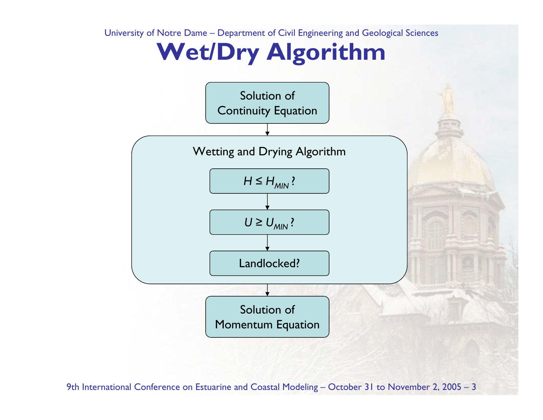## **Wet/Dry Algorithm**

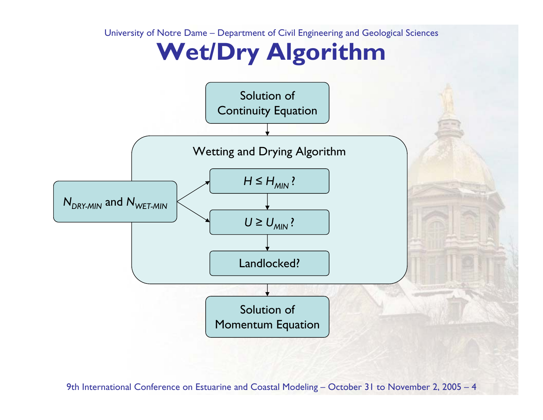## **Wet/Dry Algorithm**

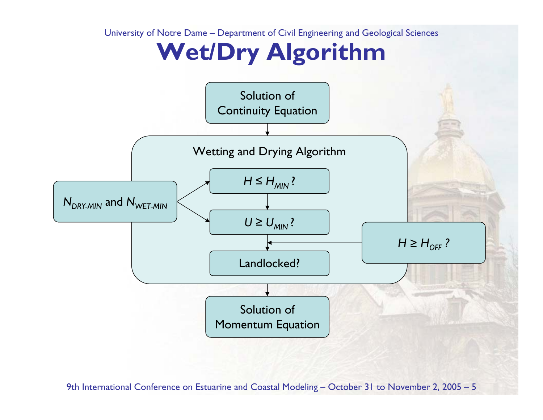## **Wet/Dry Algorithm**

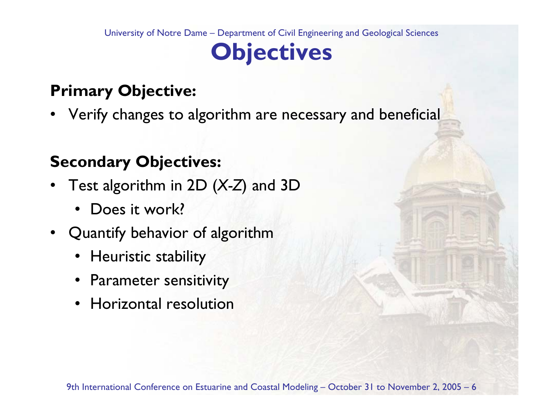# **Objectives**

### **Primary Objective:**

•Verify changes to algorithm are necessary and beneficial

### **Secondary Objectives:**

- • Test algorithm in 2D (*X-Z*) and 3D
	- $\bullet$ Does it work?
- Quantify behavior of algorithm
	- Heuristic stability
	- Parameter sensitivity
	- Horizontal resolution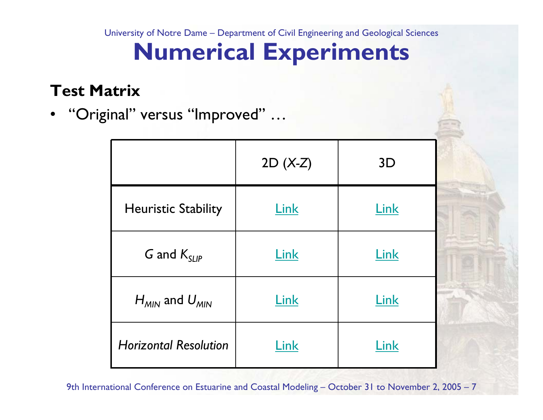# **Numerical Experiments**

#### **Test Matrix**

•"Original" versus "Improved" …

|                              | $2D (X-Z)$ | 3D   |
|------------------------------|------------|------|
| <b>Heuristic Stability</b>   | Link       | Link |
| G and $K_{SLIP}$             | Link       | Link |
| $H_{MIN}$ and $U_{MIN}$      | Link       | Link |
| <b>Horizontal Resolution</b> | Link       | Link |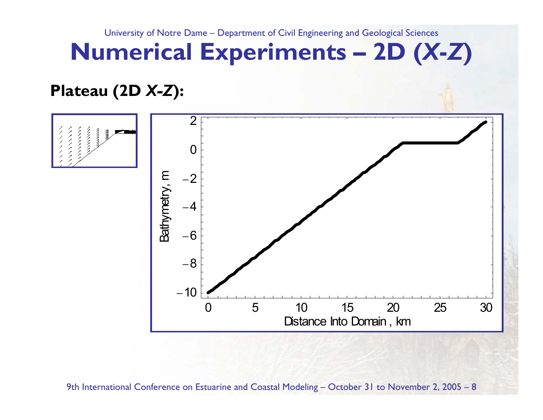# **Numerical Experiments – 2D (***X***-***Z***)**

### **Plateau (2D** *X-Z***):**

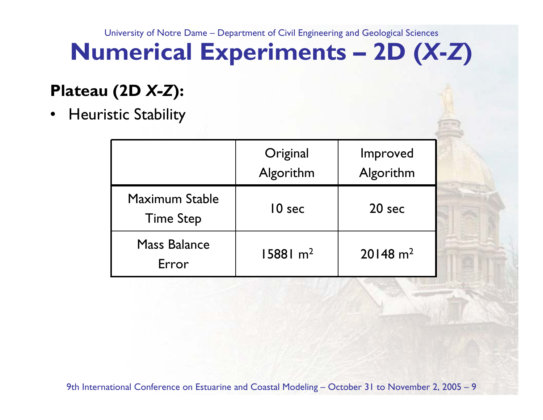# **Numerical Experiments – 2D (***X***-***Z***)**

### **Plateau (2D** *X-Z***):**

•Heuristic Stability

|                                    | Original<br>Algorithm | Improved<br>Algorithm |
|------------------------------------|-----------------------|-----------------------|
| Maximum Stable<br><b>Time Step</b> | 10 <sub>sec</sub>     | $20$ sec              |
| <b>Mass Balance</b><br>Frror       | 15881 m <sup>2</sup>  | $20148 \text{ m}^2$   |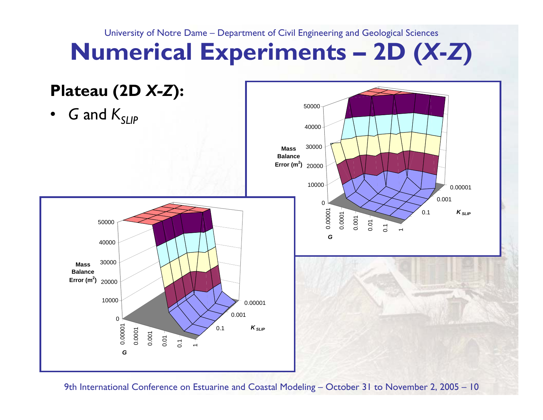# **Numerical Experiments – 2D (***X***-***Z***)**

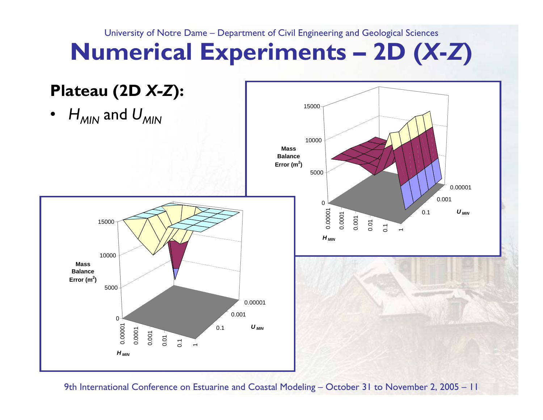# **Numerical Experiments – 2D (***X***-***Z***)**

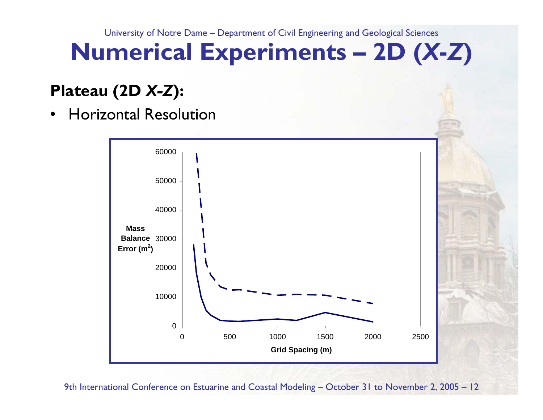# **Numerical Experiments – 2D (***X***-***Z***)**

### **Plateau (2D** *X-Z***):**

•Horizontal Resolution

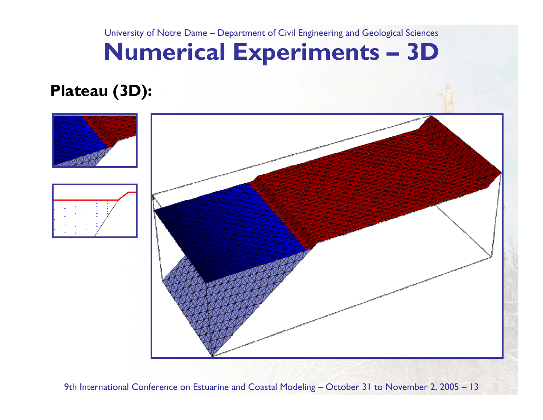# **Numerical Experiments – 3D**

### **Plateau (3D):**



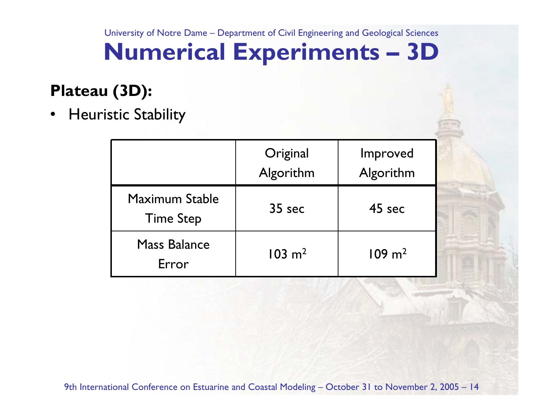# **Numerical Experiments – 3D**

### **Plateau (3D):**

•Heuristic Stability

|                                    | Original<br>Algorithm | Improved<br>Algorithm |
|------------------------------------|-----------------------|-----------------------|
| Maximum Stable<br><b>Time Step</b> | $35$ sec              | 45 sec                |
| <b>Mass Balance</b><br>Frror       | $103 \; \mathrm{m}^2$ | $109 \; \mathrm{m}^2$ |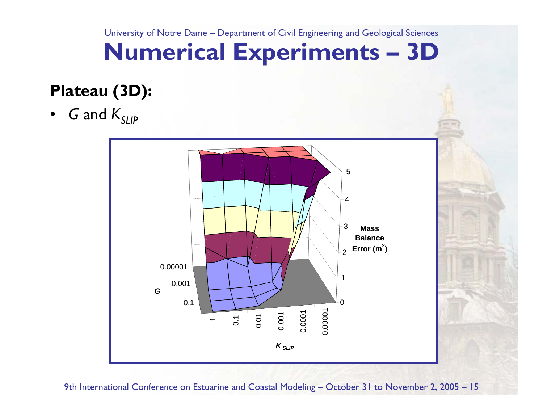# **Numerical Experiments – 3D**

### **Plateau (3D):**

• $\,$  and  $\,$   $K_{SLIP}$ 

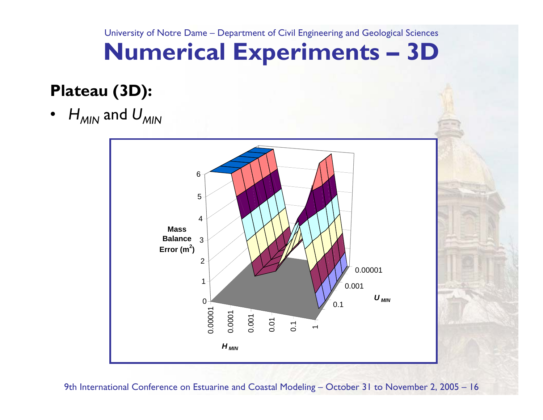# **Numerical Experiments – 3D**

### **Plateau (3D):**

• $H_{\mathsf{MIN}}$  and  $U_{\mathsf{MIN}}$ 

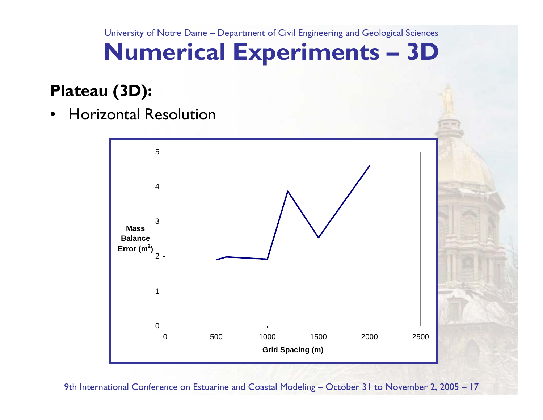# **Numerical Experiments – 3D**

### **Plateau (3D):**

•Horizontal Resolution

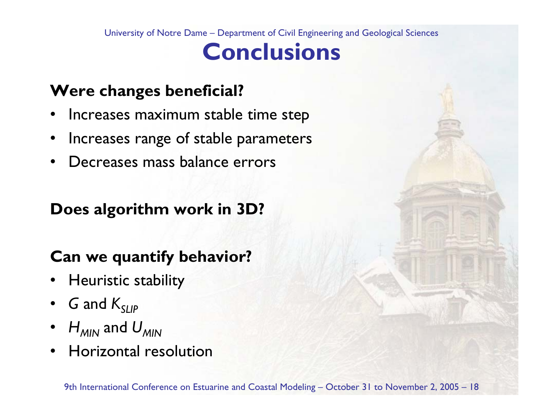### **Conclusions**

### **Were changes beneficial?**

- •Increases maximum stable time step
- •Increases range of stable parameters
- •Decreases mass balance errors

### **Does algorithm work in 3D?**

### **Can we quantify behavior?**

- •Heuristic stability
- • $\,$  and  $\,$   $K_{SLIP}$
- • $H_{\mathsf{MIN}}$  and  $U_{\mathsf{MIN}}$
- •Horizontal resolution